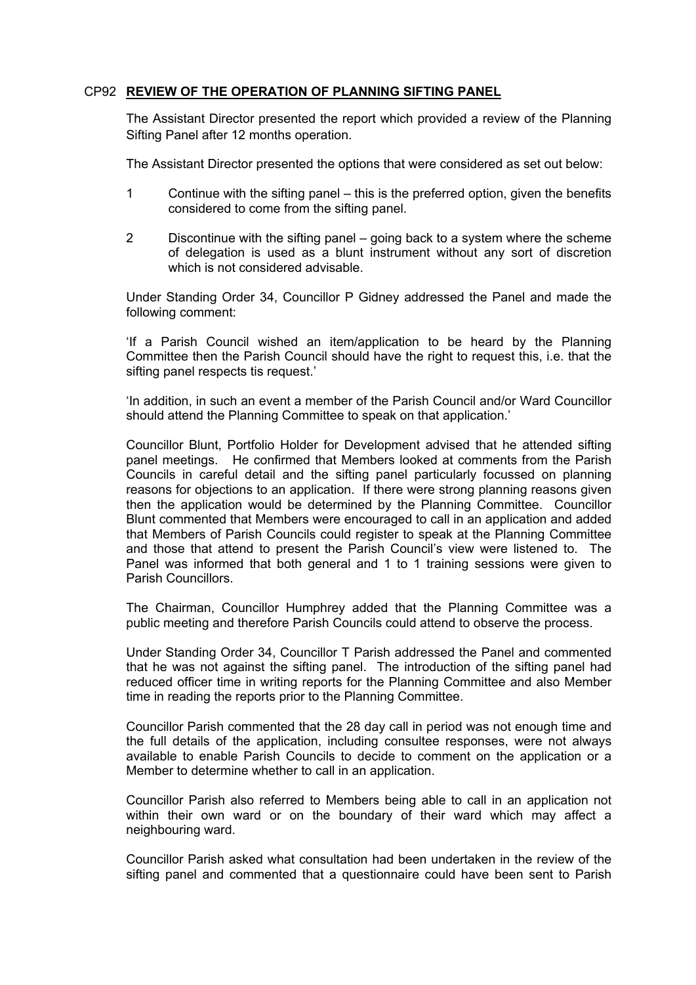## CP92 **REVIEW OF THE OPERATION OF PLANNING SIFTING PANEL**

The Assistant Director presented the report which provided a review of the Planning Sifting Panel after 12 months operation.

The Assistant Director presented the options that were considered as set out below:

- 1 Continue with the sifting panel this is the preferred option, given the benefits considered to come from the sifting panel.
- 2 Discontinue with the sifting panel going back to a system where the scheme of delegation is used as a blunt instrument without any sort of discretion which is not considered advisable.

Under Standing Order 34, Councillor P Gidney addressed the Panel and made the following comment:

'If a Parish Council wished an item/application to be heard by the Planning Committee then the Parish Council should have the right to request this, i.e. that the sifting panel respects tis request.'

'In addition, in such an event a member of the Parish Council and/or Ward Councillor should attend the Planning Committee to speak on that application.'

Councillor Blunt, Portfolio Holder for Development advised that he attended sifting panel meetings. He confirmed that Members looked at comments from the Parish Councils in careful detail and the sifting panel particularly focussed on planning reasons for objections to an application. If there were strong planning reasons given then the application would be determined by the Planning Committee. Councillor Blunt commented that Members were encouraged to call in an application and added that Members of Parish Councils could register to speak at the Planning Committee and those that attend to present the Parish Council's view were listened to. The Panel was informed that both general and 1 to 1 training sessions were given to Parish Councillors.

The Chairman, Councillor Humphrey added that the Planning Committee was a public meeting and therefore Parish Councils could attend to observe the process.

Under Standing Order 34, Councillor T Parish addressed the Panel and commented that he was not against the sifting panel. The introduction of the sifting panel had reduced officer time in writing reports for the Planning Committee and also Member time in reading the reports prior to the Planning Committee.

Councillor Parish commented that the 28 day call in period was not enough time and the full details of the application, including consultee responses, were not always available to enable Parish Councils to decide to comment on the application or a Member to determine whether to call in an application.

Councillor Parish also referred to Members being able to call in an application not within their own ward or on the boundary of their ward which may affect a neighbouring ward.

Councillor Parish asked what consultation had been undertaken in the review of the sifting panel and commented that a questionnaire could have been sent to Parish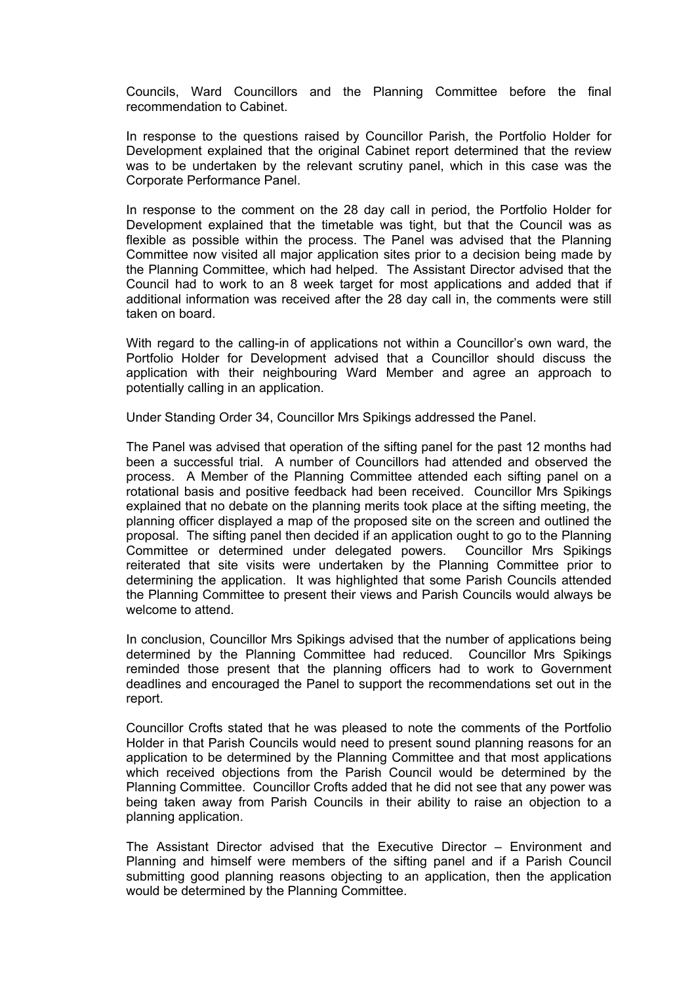Councils, Ward Councillors and the Planning Committee before the final recommendation to Cabinet.

In response to the questions raised by Councillor Parish, the Portfolio Holder for Development explained that the original Cabinet report determined that the review was to be undertaken by the relevant scrutiny panel, which in this case was the Corporate Performance Panel.

In response to the comment on the 28 day call in period, the Portfolio Holder for Development explained that the timetable was tight, but that the Council was as flexible as possible within the process. The Panel was advised that the Planning Committee now visited all major application sites prior to a decision being made by the Planning Committee, which had helped. The Assistant Director advised that the Council had to work to an 8 week target for most applications and added that if additional information was received after the 28 day call in, the comments were still taken on board.

With regard to the calling-in of applications not within a Councillor's own ward, the Portfolio Holder for Development advised that a Councillor should discuss the application with their neighbouring Ward Member and agree an approach to potentially calling in an application.

Under Standing Order 34, Councillor Mrs Spikings addressed the Panel.

The Panel was advised that operation of the sifting panel for the past 12 months had been a successful trial. A number of Councillors had attended and observed the process. A Member of the Planning Committee attended each sifting panel on a rotational basis and positive feedback had been received. Councillor Mrs Spikings explained that no debate on the planning merits took place at the sifting meeting, the planning officer displayed a map of the proposed site on the screen and outlined the proposal. The sifting panel then decided if an application ought to go to the Planning Committee or determined under delegated powers. Councillor Mrs Spikings reiterated that site visits were undertaken by the Planning Committee prior to determining the application. It was highlighted that some Parish Councils attended the Planning Committee to present their views and Parish Councils would always be welcome to attend.

In conclusion, Councillor Mrs Spikings advised that the number of applications being determined by the Planning Committee had reduced. Councillor Mrs Spikings reminded those present that the planning officers had to work to Government deadlines and encouraged the Panel to support the recommendations set out in the report.

Councillor Crofts stated that he was pleased to note the comments of the Portfolio Holder in that Parish Councils would need to present sound planning reasons for an application to be determined by the Planning Committee and that most applications which received objections from the Parish Council would be determined by the Planning Committee. Councillor Crofts added that he did not see that any power was being taken away from Parish Councils in their ability to raise an objection to a planning application.

The Assistant Director advised that the Executive Director – Environment and Planning and himself were members of the sifting panel and if a Parish Council submitting good planning reasons objecting to an application, then the application would be determined by the Planning Committee.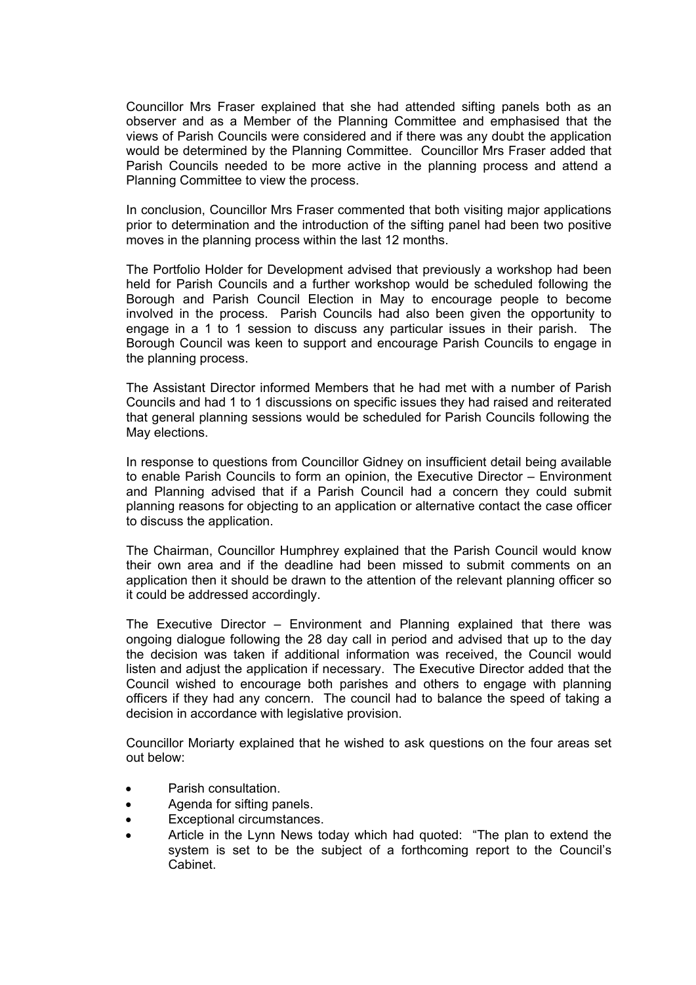Councillor Mrs Fraser explained that she had attended sifting panels both as an observer and as a Member of the Planning Committee and emphasised that the views of Parish Councils were considered and if there was any doubt the application would be determined by the Planning Committee. Councillor Mrs Fraser added that Parish Councils needed to be more active in the planning process and attend a Planning Committee to view the process.

In conclusion, Councillor Mrs Fraser commented that both visiting major applications prior to determination and the introduction of the sifting panel had been two positive moves in the planning process within the last 12 months.

The Portfolio Holder for Development advised that previously a workshop had been held for Parish Councils and a further workshop would be scheduled following the Borough and Parish Council Election in May to encourage people to become involved in the process. Parish Councils had also been given the opportunity to engage in a 1 to 1 session to discuss any particular issues in their parish. The Borough Council was keen to support and encourage Parish Councils to engage in the planning process.

The Assistant Director informed Members that he had met with a number of Parish Councils and had 1 to 1 discussions on specific issues they had raised and reiterated that general planning sessions would be scheduled for Parish Councils following the May elections.

In response to questions from Councillor Gidney on insufficient detail being available to enable Parish Councils to form an opinion, the Executive Director – Environment and Planning advised that if a Parish Council had a concern they could submit planning reasons for objecting to an application or alternative contact the case officer to discuss the application.

The Chairman, Councillor Humphrey explained that the Parish Council would know their own area and if the deadline had been missed to submit comments on an application then it should be drawn to the attention of the relevant planning officer so it could be addressed accordingly.

The Executive Director – Environment and Planning explained that there was ongoing dialogue following the 28 day call in period and advised that up to the day the decision was taken if additional information was received, the Council would listen and adjust the application if necessary. The Executive Director added that the Council wished to encourage both parishes and others to engage with planning officers if they had any concern. The council had to balance the speed of taking a decision in accordance with legislative provision.

Councillor Moriarty explained that he wished to ask questions on the four areas set out below:

- Parish consultation.
- Agenda for sifting panels.
- Exceptional circumstances.
- Article in the Lynn News today which had quoted: "The plan to extend the system is set to be the subject of a forthcoming report to the Council's Cabinet.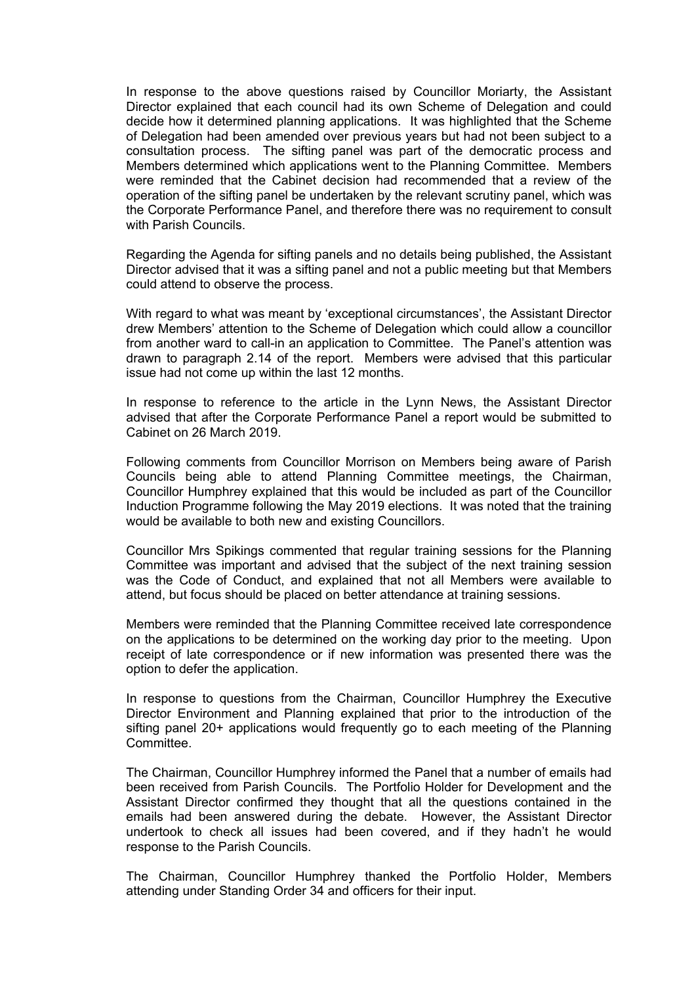In response to the above questions raised by Councillor Moriarty, the Assistant Director explained that each council had its own Scheme of Delegation and could decide how it determined planning applications. It was highlighted that the Scheme of Delegation had been amended over previous years but had not been subject to a consultation process. The sifting panel was part of the democratic process and Members determined which applications went to the Planning Committee. Members were reminded that the Cabinet decision had recommended that a review of the operation of the sifting panel be undertaken by the relevant scrutiny panel, which was the Corporate Performance Panel, and therefore there was no requirement to consult with Parish Councils.

Regarding the Agenda for sifting panels and no details being published, the Assistant Director advised that it was a sifting panel and not a public meeting but that Members could attend to observe the process.

With regard to what was meant by 'exceptional circumstances', the Assistant Director drew Members' attention to the Scheme of Delegation which could allow a councillor from another ward to call-in an application to Committee. The Panel's attention was drawn to paragraph 2.14 of the report. Members were advised that this particular issue had not come up within the last 12 months.

In response to reference to the article in the Lynn News, the Assistant Director advised that after the Corporate Performance Panel a report would be submitted to Cabinet on 26 March 2019.

Following comments from Councillor Morrison on Members being aware of Parish Councils being able to attend Planning Committee meetings, the Chairman, Councillor Humphrey explained that this would be included as part of the Councillor Induction Programme following the May 2019 elections. It was noted that the training would be available to both new and existing Councillors.

Councillor Mrs Spikings commented that regular training sessions for the Planning Committee was important and advised that the subject of the next training session was the Code of Conduct, and explained that not all Members were available to attend, but focus should be placed on better attendance at training sessions.

Members were reminded that the Planning Committee received late correspondence on the applications to be determined on the working day prior to the meeting. Upon receipt of late correspondence or if new information was presented there was the option to defer the application.

In response to questions from the Chairman, Councillor Humphrey the Executive Director Environment and Planning explained that prior to the introduction of the sifting panel 20+ applications would frequently go to each meeting of the Planning Committee.

The Chairman, Councillor Humphrey informed the Panel that a number of emails had been received from Parish Councils. The Portfolio Holder for Development and the Assistant Director confirmed they thought that all the questions contained in the emails had been answered during the debate. However, the Assistant Director undertook to check all issues had been covered, and if they hadn't he would response to the Parish Councils.

The Chairman, Councillor Humphrey thanked the Portfolio Holder, Members attending under Standing Order 34 and officers for their input.